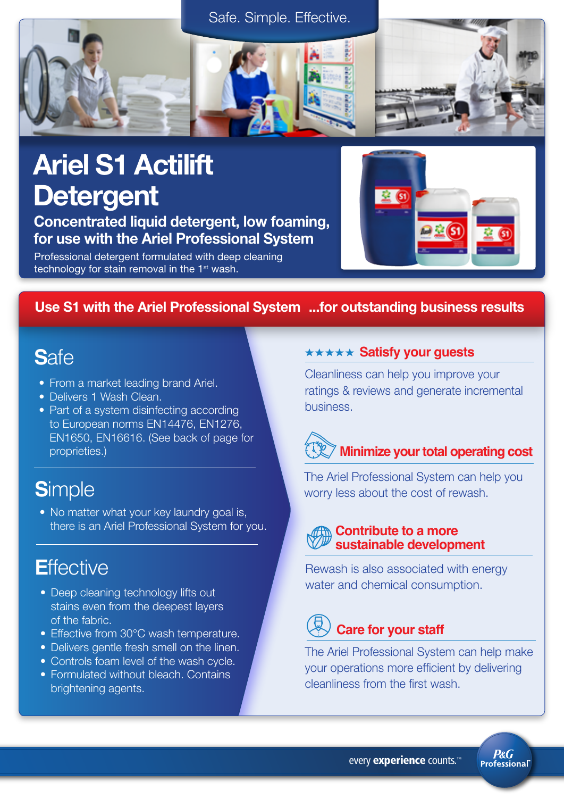



# Ariel S1 Actilift **Detergent**

Concentrated liquid detergent, low foaming, for use with the Ariel Professional System

Professional detergent formulated with deep cleaning technology for stain removal in the  $1<sup>st</sup>$  wash.



## Use S1 with the Ariel Professional System ...for outstanding business results

# **S**afe

- From a market leading brand Ariel.
- Delivers 1 Wash Clean.
- Part of a system disinfecting according to European norms EN14476, EN1276, EN1650, EN16616. (See back of page for proprieties.)

# **S**imple

• No matter what your key laundry goal is, there is an Ariel Professional System for you.

# **E**ffective

- Deep cleaning technology lifts out stains even from the deepest layers of the fabric.
- Effective from 30°C wash temperature.
- Delivers gentle fresh smell on the linen.
- Controls foam level of the wash cycle.
- Formulated without bleach. Contains brightening agents.

### **\*\*\*\*\* Satisfy your guests**

Cleanliness can help you improve your ratings & reviews and generate incremental business.

# **Minimize your total operating cost**

The Ariel Professional System can help you worry less about the cost of rewash.

## **Contribute to a more sustainable development**

Rewash is also associated with energy water and chemical consumption.

# **Care for your staff**

The Ariel Professional System can help make your operations more efficient by delivering cleanliness from the first wash.

> **P&G Professional**